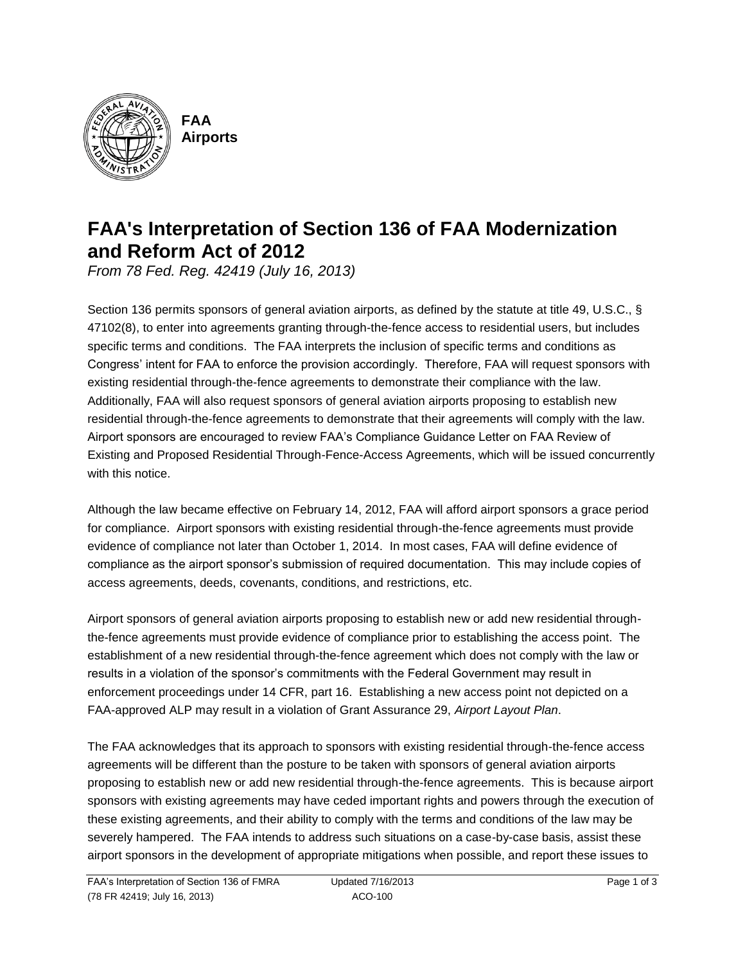

**FAA Airports**

# **FAA's Interpretation of Section 136 of FAA Modernization and Reform Act of 2012**

*From 78 Fed. Reg. 42419 (July 16, 2013)*

Section 136 permits sponsors of general aviation airports, as defined by the statute at title 49, U.S.C., § 47102(8), to enter into agreements granting through-the-fence access to residential users, but includes specific terms and conditions. The FAA interprets the inclusion of specific terms and conditions as Congress' intent for FAA to enforce the provision accordingly. Therefore, FAA will request sponsors with existing residential through-the-fence agreements to demonstrate their compliance with the law. Additionally, FAA will also request sponsors of general aviation airports proposing to establish new residential through-the-fence agreements to demonstrate that their agreements will comply with the law. Airport sponsors are encouraged to review FAA's Compliance Guidance Letter on FAA Review of Existing and Proposed Residential Through-Fence-Access Agreements, which will be issued concurrently with this notice

Although the law became effective on February 14, 2012, FAA will afford airport sponsors a grace period for compliance. Airport sponsors with existing residential through-the-fence agreements must provide evidence of compliance not later than October 1, 2014. In most cases, FAA will define evidence of compliance as the airport sponsor's submission of required documentation. This may include copies of access agreements, deeds, covenants, conditions, and restrictions, etc.

Airport sponsors of general aviation airports proposing to establish new or add new residential throughthe-fence agreements must provide evidence of compliance prior to establishing the access point. The establishment of a new residential through-the-fence agreement which does not comply with the law or results in a violation of the sponsor's commitments with the Federal Government may result in enforcement proceedings under 14 CFR, part 16. Establishing a new access point not depicted on a FAA-approved ALP may result in a violation of Grant Assurance 29, *Airport Layout Plan*.

The FAA acknowledges that its approach to sponsors with existing residential through-the-fence access agreements will be different than the posture to be taken with sponsors of general aviation airports proposing to establish new or add new residential through-the-fence agreements. This is because airport sponsors with existing agreements may have ceded important rights and powers through the execution of these existing agreements, and their ability to comply with the terms and conditions of the law may be severely hampered. The FAA intends to address such situations on a case-by-case basis, assist these airport sponsors in the development of appropriate mitigations when possible, and report these issues to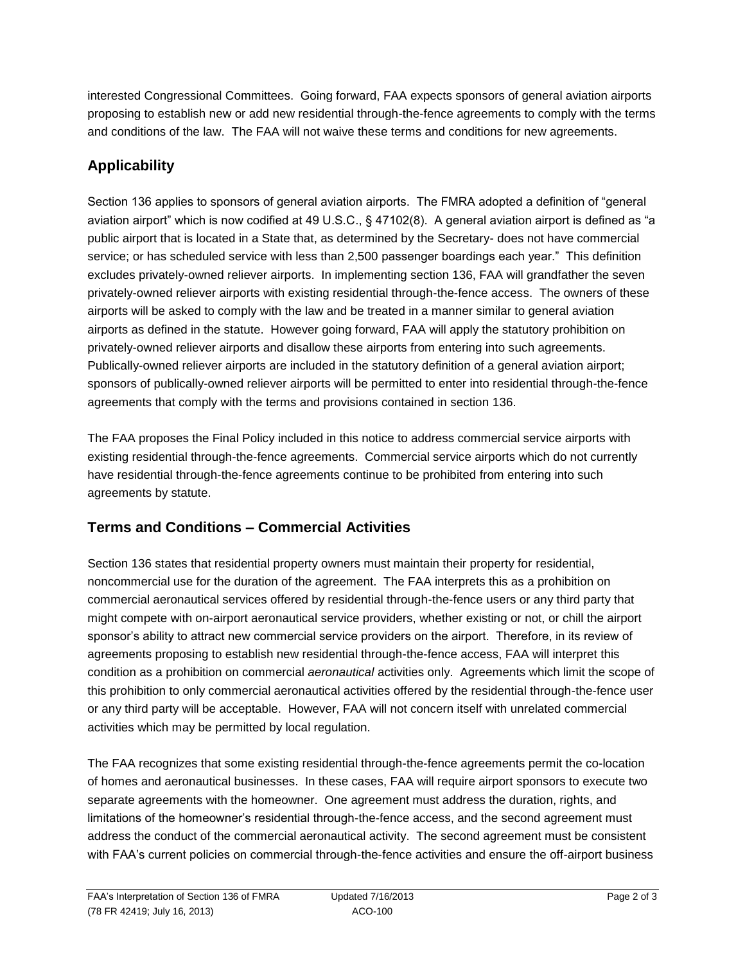interested Congressional Committees. Going forward, FAA expects sponsors of general aviation airports proposing to establish new or add new residential through-the-fence agreements to comply with the terms and conditions of the law. The FAA will not waive these terms and conditions for new agreements.

## **Applicability**

Section 136 applies to sponsors of general aviation airports. The FMRA adopted a definition of "general aviation airport" which is now codified at 49 U.S.C., § 47102(8). A general aviation airport is defined as "a public airport that is located in a State that, as determined by the Secretary- does not have commercial service; or has scheduled service with less than 2,500 passenger boardings each year." This definition excludes privately-owned reliever airports. In implementing section 136, FAA will grandfather the seven privately-owned reliever airports with existing residential through-the-fence access. The owners of these airports will be asked to comply with the law and be treated in a manner similar to general aviation airports as defined in the statute. However going forward, FAA will apply the statutory prohibition on privately-owned reliever airports and disallow these airports from entering into such agreements. Publically-owned reliever airports are included in the statutory definition of a general aviation airport; sponsors of publically-owned reliever airports will be permitted to enter into residential through-the-fence agreements that comply with the terms and provisions contained in section 136.

The FAA proposes the Final Policy included in this notice to address commercial service airports with existing residential through-the-fence agreements. Commercial service airports which do not currently have residential through-the-fence agreements continue to be prohibited from entering into such agreements by statute.

## **Terms and Conditions – Commercial Activities**

Section 136 states that residential property owners must maintain their property for residential, noncommercial use for the duration of the agreement. The FAA interprets this as a prohibition on commercial aeronautical services offered by residential through-the-fence users or any third party that might compete with on-airport aeronautical service providers, whether existing or not, or chill the airport sponsor's ability to attract new commercial service providers on the airport. Therefore, in its review of agreements proposing to establish new residential through-the-fence access, FAA will interpret this condition as a prohibition on commercial *aeronautical* activities only. Agreements which limit the scope of this prohibition to only commercial aeronautical activities offered by the residential through-the-fence user or any third party will be acceptable. However, FAA will not concern itself with unrelated commercial activities which may be permitted by local regulation.

The FAA recognizes that some existing residential through-the-fence agreements permit the co-location of homes and aeronautical businesses. In these cases, FAA will require airport sponsors to execute two separate agreements with the homeowner. One agreement must address the duration, rights, and limitations of the homeowner's residential through-the-fence access, and the second agreement must address the conduct of the commercial aeronautical activity. The second agreement must be consistent with FAA's current policies on commercial through-the-fence activities and ensure the off-airport business